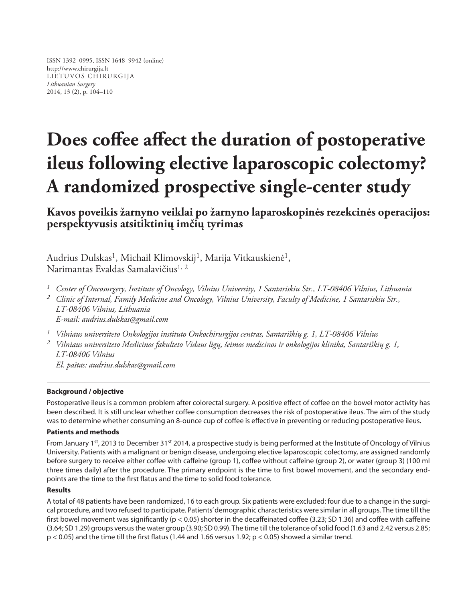ISSN 1392–0995, ISSN 1648–9942 (online) http://www.chirurgija.lt LIETUVOS CHIRURGIJA *Lithuanian Surgery* 2014, 13 (2), p. 104–110

# **Does coffee affect the duration of postoperative ileus following elective laparoscopic colectomy? A randomized prospective single-center study**

**Kavos poveikis žarnyno veiklai po žarnyno laparoskopinės rezekcinės operacijos: perspektyvusis atsitiktinių imčių tyrimas**

Audrius Dulskas<sup>1</sup>, Michail Klimovskij<sup>1</sup>, Marija Vitkauskienė<sup>1</sup>, Narimantas Evaldas Samalavičius<sup>1, 2</sup>

- *<sup>1</sup> Center of Oncosurgery, Institute of Oncology, Vilnius University, 1 Santariskiu Str., LT-08406 Vilnius, Lithuania*
- *<sup>2</sup> Clinic of Internal, Family Medicine and Oncology, Vilnius University, Faculty of Medicine, 1 Santariskiu Str., LT-08406 Vilnius, Lithuania E-mail: audrius.dulskas@gmail.com*
- *<sup>1</sup> Vilniaus universiteto Onkologijos instituto Onkochirurgijos centras, Santariškių g. 1, LT-08406 Vilnius*

*<sup>2</sup> Vilniaus universiteto Medicinos fakulteto Vidaus ligų, šeimos medicinos ir onkologijos klinika, Santariškių g. 1, LT-08406 Vilnius*

*El. paštas: audrius.dulskas@gmail.com*

#### **Background / objective**

Postoperative ileus is a common problem after colorectal surgery. A positive effect of coffee on the bowel motor activity has been described. It is still unclear whether coffee consumption decreases the risk of postoperative ileus. The aim of the study was to determine whether consuming an 8-ounce cup of coffee is effective in preventing or reducing postoperative ileus.

## **Patients and methods**

From January 1st, 2013 to December 31st 2014, a prospective study is being performed at the Institute of Oncology of Vilnius University. Patients with a malignant or benign disease, undergoing elective laparoscopic colectomy, are assigned randomly before surgery to receive either coffee with caffeine (group 1), coffee without caffeine (group 2), or water (group 3) (100 ml three times daily) after the procedure. The primary endpoint is the time to first bowel movement, and the secondary endpoints are the time to the first flatus and the time to solid food tolerance.

#### **Results**

A total of 48 patients have been randomized, 16 to each group. Six patients were excluded: four due to a change in the surgical procedure, and two refused to participate. Patients' demographic characteristics were similar in all groups. The time till the first bowel movement was significantly (p < 0.05) shorter in the decaffeinated coffee (3.23; SD 1.36) and coffee with caffeine (3.64; SD 1.29) groups versus the water group (3.90; SD 0.99). The time till the tolerance of solid food (1.63 and 2.42 versus 2.85;  $p < 0.05$ ) and the time till the first flatus (1.44 and 1.66 versus 1.92;  $p < 0.05$ ) showed a similar trend.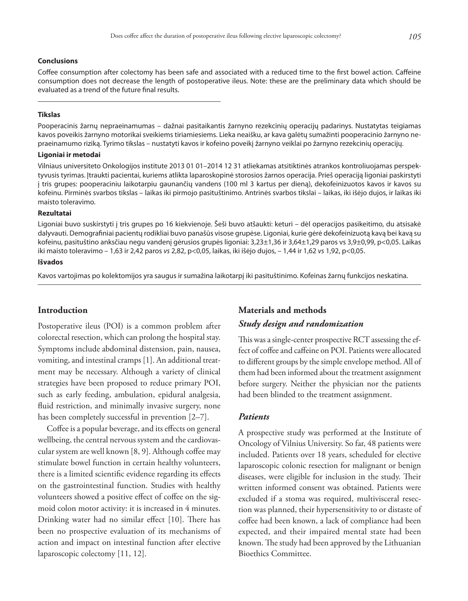#### **Conclusions**

Coffee consumption after colectomy has been safe and associated with a reduced time to the first bowel action. Caffeine consumption does not decrease the length of postoperative ileus. Note: these are the preliminary data which should be evaluated as a trend of the future final results.

#### **Tikslas**

Pooperacinis žarnų nepraeinamumas – dažnai pasitaikantis žarnyno rezekcinių operacijų padarinys. Nustatytas teigiamas kavos poveikis žarnyno motorikai sveikiems tiriamiesiems. Lieka neaišku, ar kava galėtų sumažinti pooperacinio žarnyno nepraeinamumo riziką. Tyrimo tikslas – nustatyti kavos ir kofeino poveikį žarnyno veiklai po žarnyno rezekcinių operacijų.

#### **Ligoniai ir metodai**

Vilniaus universiteto Onkologijos institute 2013 01 01–2014 12 31 atliekamas atsitiktinės atrankos kontroliuojamas perspektyvusis tyrimas. Įtraukti pacientai, kuriems atlikta laparoskopinė storosios žarnos operacija. Prieš operaciją ligoniai paskirstyti į tris grupes: pooperaciniu laikotarpiu gaunančių vandens (100 ml 3 kartus per dieną), dekofeinizuotos kavos ir kavos su kofeinu. Pirminės svarbos tikslas – laikas iki pirmojo pasituštinimo. Antrinės svarbos tikslai – laikas, iki išėjo dujos, ir laikas iki maisto toleravimo.

#### **Rezultatai**

Ligoniai buvo suskirstyti į tris grupes po 16 kiekvienoje. Šeši buvo atšaukti: keturi – dėl operacijos pasikeitimo, du atsisakė dalyvauti. Demografiniai pacientų rodikliai buvo panašūs visose grupėse. Ligoniai, kurie gėrė dekofeinizuotą kavą bei kavą su kofeinu, pasituštino anksčiau negu vandenį gėrusios grupės ligoniai: 3,23±1,36 ir 3,64±1,29 paros vs 3,9±0,99, p<0,05. Laikas iki maisto toleravimo – 1,63 ir 2,42 paros *vs* 2,82, p<0,05, laikas, iki išėjo dujos, – 1,44 ir 1,62 *vs* 1,92, p<0,05.

## **Išvados**

Kavos vartojimas po kolektomijos yra saugus ir sumažina laikotarpį iki pasituštinimo. Kofeinas žarnų funkcijos neskatina.

## **Introduction**

Postoperative ileus (POI) is a common problem after colorectal resection, which can prolong the hospital stay. Symptoms include abdominal distension, pain, nausea, vomiting, and intestinal cramps [1]. An additional treatment may be necessary. Although a variety of clinical strategies have been proposed to reduce primary POI, such as early feeding, ambulation, epidural analgesia, fluid restriction, and minimally invasive surgery, none has been completely successful in prevention [2–7].

Coffee is a popular beverage, and its effects on general wellbeing, the central nervous system and the cardiovascular system are well known [8, 9]. Although coffee may stimulate bowel function in certain healthy volunteers, there is a limited scientific evidence regarding its effects on the gastrointestinal function. Studies with healthy volunteers showed a positive effect of coffee on the sigmoid colon motor activity: it is increased in 4 minutes. Drinking water had no similar effect [10]. There has been no prospective evaluation of its mechanisms of action and impact on intestinal function after elective laparoscopic colectomy [11, 12].

# **Materials and methods**

## *Study design and randomization*

This was a single-center prospective RCT assessing the effect of coffee and caffeine on POI. Patients were allocated to different groups by the simple envelope method. All of them had been informed about the treatment assignment before surgery. Neither the physician nor the patients had been blinded to the treatment assignment.

## *Patients*

A prospective study was performed at the Institute of Oncology of Vilnius University. So far, 48 patients were included. Patients over 18 years, scheduled for elective laparoscopic colonic resection for malignant or benign diseases, were eligible for inclusion in the study. Their written informed consent was obtained. Patients were excluded if a stoma was required, multivisceral resection was planned, their hypersensitivity to or distaste of coffee had been known, a lack of compliance had been expected, and their impaired mental state had been known. The study had been approved by the Lithuanian Bioethics Committee.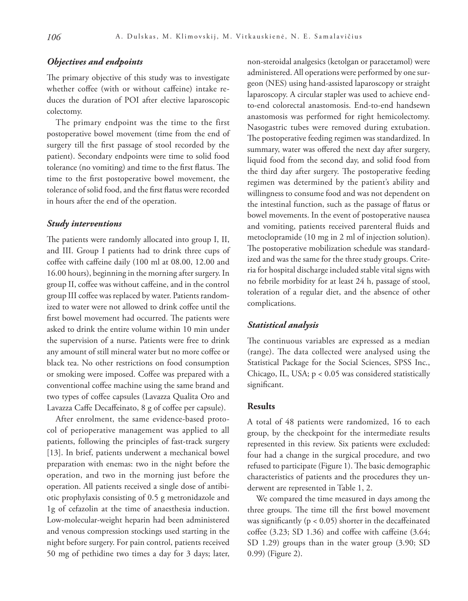# *Objectives and endpoints*

The primary objective of this study was to investigate whether coffee (with or without caffeine) intake reduces the duration of POI after elective laparoscopic colectomy.

The primary endpoint was the time to the first postoperative bowel movement (time from the end of surgery till the first passage of stool recorded by the patient). Secondary endpoints were time to solid food tolerance (no vomiting) and time to the first flatus. The time to the first postoperative bowel movement, the tolerance of solid food, and the first flatus were recorded in hours after the end of the operation.

#### *Study interventions*

The patients were randomly allocated into group I, II, and III. Group I patients had to drink three cups of coffee with caffeine daily (100 ml at 08.00, 12.00 and 16.00 hours), beginning in the morning after surgery. In group II, coffee was without caffeine, and in the control group III coffee was replaced by water. Patients randomized to water were not allowed to drink coffee until the first bowel movement had occurred. The patients were asked to drink the entire volume within 10 min under the supervision of a nurse. Patients were free to drink any amount of still mineral water but no more coffee or black tea. No other restrictions on food consumption or smoking were imposed. Coffee was prepared with a conventional coffee machine using the same brand and two types of coffee capsules (Lavazza Qualita Oro and Lavazza Caffe Decaffeinato, 8 g of coffee per capsule).

After enrolment, the same evidence-based protocol of perioperative management was applied to all patients, following the principles of fast-track surgery [13]. In brief, patients underwent a mechanical bowel preparation with enemas: two in the night before the operation, and two in the morning just before the operation. All patients received a single dose of antibiotic prophylaxis consisting of 0.5 g metronidazole and 1g of cefazolin at the time of anaesthesia induction. Low-molecular-weight heparin had been administered and venous compression stockings used starting in the night before surgery. For pain control, patients received 50 mg of pethidine two times a day for 3 days; later, non-steroidal analgesics (ketolgan or paracetamol) were administered. All operations were performed by one surgeon (NES) using hand-assisted laparoscopy or straight laparoscopy. A circular stapler was used to achieve endto-end colorectal anastomosis. End-to-end handsewn anastomosis was performed for right hemicolectomy. Nasogastric tubes were removed during extubation. The postoperative feeding regimen was standardized. In summary, water was offered the next day after surgery, liquid food from the second day, and solid food from the third day after surgery. The postoperative feeding regimen was determined by the patient's ability and willingness to consume food and was not dependent on the intestinal function, such as the passage of flatus or bowel movements. In the event of postoperative nausea and vomiting, patients received parenteral fluids and metoclopramide (10 mg in 2 ml of injection solution). The postoperative mobilization schedule was standardized and was the same for the three study groups. Criteria for hospital discharge included stable vital signs with no febrile morbidity for at least 24 h, passage of stool, toleration of a regular diet, and the absence of other complications.

#### *Statistical analysis*

The continuous variables are expressed as a median (range). The data collected were analysed using the Statistical Package for the Social Sciences, SPSS Inc., Chicago, IL, USA; p < 0.05 was considered statistically significant.

## **Results**

A total of 48 patients were randomized, 16 to each group, by the checkpoint for the intermediate results represented in this review. Six patients were excluded: four had a change in the surgical procedure, and two refused to participate (Figure 1). The basic demographic characteristics of patients and the procedures they underwent are represented in Table 1, 2.

We compared the time measured in days among the three groups. The time till the first bowel movement was significantly ( $p < 0.05$ ) shorter in the decaffeinated coffee (3.23; SD 1.36) and coffee with caffeine (3.64; SD 1.29) groups than in the water group (3.90; SD 0.99) (Figure 2).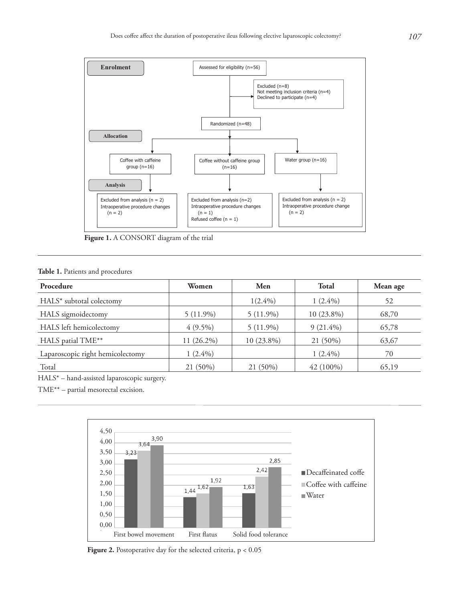

**Figure 1.** A CONSORT diagram of the trial

#### **Table 1.** Patients and procedures

| Procedure                        | Women        | Men          | <b>Total</b> | Mean age |
|----------------------------------|--------------|--------------|--------------|----------|
| HALS* subtotal colectomy         |              | $1(2.4\%)$   | $1(2.4\%)$   | 52       |
| HALS sigmoidectomy               | $5(11.9\%)$  | $5(11.9\%)$  | 10 (23.8%)   | 68,70    |
| HALS left hemicolectomy          | $4(9.5\%)$   | $5(11.9\%)$  | $9(21.4\%)$  | 65,78    |
| HALS patial TME**                | $11(26.2\%)$ | $10(23.8\%)$ | 21 (50%)     | 63,67    |
| Laparoscopic right hemicolectomy | $1(2.4\%)$   |              | $1(2.4\%)$   | 70       |
| Total                            | 21 (50%)     | 21 (50%)     | $42(100\%)$  | 65,19    |

HALS\* – hand-assisted laparoscopic surgery.

TME\*\* – partial mesorectal excision.



Figure 2. Postoperative day for the selected criteria,  $p < 0.05$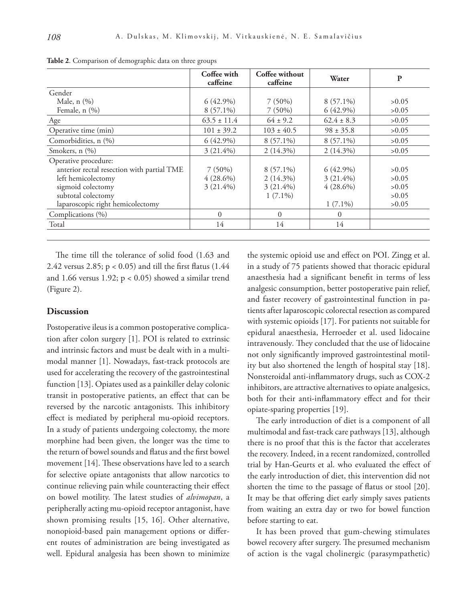|                                            | Coffee with<br>caffeine | Coffee without<br>caffeine | Water          | P     |
|--------------------------------------------|-------------------------|----------------------------|----------------|-------|
| Gender                                     |                         |                            |                |       |
| Male, n (%)                                | $6(42.9\%)$             | $7(50\%)$                  | $8(57.1\%)$    | >0.05 |
| Female, n (%)                              | $8(57.1\%)$             | $7(50\%)$                  | $6(42.9\%)$    | >0.05 |
| Age                                        | $63.5 \pm 11.4$         | $64 \pm 9.2$               | $62.4 \pm 8.3$ | >0.05 |
| Operative time (min)                       | $101 \pm 39.2$          | $103 \pm 40.5$             | $98 \pm 35.8$  | >0.05 |
| Comorbidities, n (%)                       | $6(42.9\%)$             | $8(57.1\%)$                | $8(57.1\%)$    | >0.05 |
| Smokers, $n$ $(\%)$                        | $3(21.4\%)$             | $2(14.3\%)$                | $2(14.3\%)$    | >0.05 |
| Operative procedure:                       |                         |                            |                |       |
| anterior rectal resection with partial TME | $7(50\%)$               | $8(57.1\%)$                | $6(42.9\%)$    | >0.05 |
| left hemicolectomy                         | $4(28.6\%)$             | $2(14.3\%)$                | $3(21.4\%)$    | >0.05 |
| sigmoid colectomy                          | $3(21.4\%)$             | $3(21.4\%)$                | $4(28.6\%)$    | >0.05 |
| subtotal colectomy                         |                         | $1(7.1\%)$                 |                | >0.05 |
| laparoscopic right hemicolectomy           |                         |                            | $1(7.1\%)$     | >0.05 |
| Complications (%)                          | $\Omega$                | $\Omega$                   | $\Omega$       |       |
| Total                                      | 14                      | 14                         | 14             |       |

**Table 2**. Comparison of demographic data on three groups

The time till the tolerance of solid food (1.63 and 2.42 versus 2.85; p < 0.05) and till the first flatus (1.44 and 1.66 versus 1.92;  $p < 0.05$ ) showed a similar trend (Figure 2).

## **Discussion**

Postoperative ileus is a common postoperative complication after colon surgery [1]. POI is related to extrinsic and intrinsic factors and must be dealt with in a multimodal manner [1]. Nowadays, fast-track protocols are used for accelerating the recovery of the gastrointestinal function [13]. Opiates used as a painkiller delay colonic transit in postoperative patients, an effect that can be reversed by the narcotic antagonists. This inhibitory effect is mediated by peripheral mu-opioid receptors. In a study of patients undergoing colectomy, the more morphine had been given, the longer was the time to the return of bowel sounds and flatus and the first bowel movement [14]. These observations have led to a search for selective opiate antagonists that allow narcotics to continue relieving pain while counteracting their effect on bowel motility. The latest studies of *alvimopan*, a peripherally acting mu-opioid receptor antagonist, have shown promising results [15, 16]. Other alternative, nonopioid-based pain management options or different routes of administration are being investigated as well. Epidural analgesia has been shown to minimize

the systemic opioid use and effect on POI. Zingg et al. in a study of 75 patients showed that thoracic epidural anaesthesia had a significant benefit in terms of less analgesic consumption, better postoperative pain relief, and faster recovery of gastrointestinal function in patients after laparoscopic colorectal resection as compared with systemic opioids [17]. For patients not suitable for epidural anaesthesia, Herroeder et al. used lidocaine intravenously*.* They concluded that the use of lidocaine not only significantly improved gastrointestinal motility but also shortened the length of hospital stay [18]. Nonsteroidal anti-inflammatory drugs, such as COX-2 inhibitors, are attractive alternatives to opiate analgesics, both for their anti-inflammatory effect and for their opiate-sparing properties [19].

The early introduction of diet is a component of all multimodal and fast-track care pathways [13], although there is no proof that this is the factor that accelerates the recovery. Indeed, in a recent randomized, controlled trial by Han-Geurts et al. who evaluated the effect of the early introduction of diet, this intervention did not shorten the time to the passage of flatus or stool [20]. It may be that offering diet early simply saves patients from waiting an extra day or two for bowel function before starting to eat.

It has been proved that gum-chewing stimulates bowel recovery after surgery. The presumed mechanism of action is the vagal cholinergic (parasympathetic)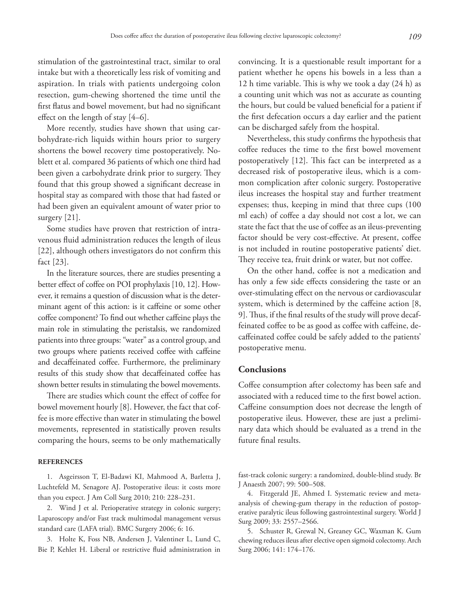stimulation of the gastrointestinal tract, similar to oral intake but with a theoretically less risk of vomiting and aspiration. In trials with patients undergoing colon resection, gum-chewing shortened the time until the first flatus and bowel movement, but had no significant effect on the length of stay [4–6].

More recently, studies have shown that using carbohydrate-rich liquids within hours prior to surgery shortens the bowel recovery time postoperatively. Noblett et al. compared 36 patients of which one third had been given a carbohydrate drink prior to surgery. They found that this group showed a significant decrease in hospital stay as compared with those that had fasted or had been given an equivalent amount of water prior to surgery [21].

Some studies have proven that restriction of intravenous fluid administration reduces the length of ileus [22], although others investigators do not confirm this fact [23].

In the literature sources, there are studies presenting a better effect of coffee on POI prophylaxis [10, 12]. However, it remains a question of discussion what is the determinant agent of this action: is it caffeine or some other coffee component? To find out whether caffeine plays the main role in stimulating the peristalsis, we randomized patients into three groups: "water" as a control group, and two groups where patients received coffee with caffeine and decaffeinated coffee. Furthermore, the preliminary results of this study show that decaffeinated coffee has shown better results in stimulating the bowel movements.

There are studies which count the effect of coffee for bowel movement hourly [8]. However, the fact that coffee is more effective than water in stimulating the bowel movements, represented in statistically proven results comparing the hours, seems to be only mathematically

#### **REFERENCES**

1. Asgeirsson T, El-Badawi KI, Mahmood A, Barletta J, Luchtefeld M, Senagore AJ. Postoperative ileus: it costs more than you expect. J Am Coll Surg 2010; 210: 228–231.

2. Wind J et al. Perioperative strategy in colonic surgery; Laparoscopy and/or Fast track multimodal management versus standard care (LAFA trial). BMC Surgery 2006; 6: 16.

3. Holte K, Foss NB, Andersen J, Valentiner L, Lund C, Bie P, Kehlet H. Liberal or restrictive fluid administration in

convincing. It is a questionable result important for a patient whether he opens his bowels in a less than a 12 h time variable. This is why we took a day (24 h) as a counting unit which was not as accurate as counting the hours, but could be valued beneficial for a patient if the first defecation occurs a day earlier and the patient can be discharged safely from the hospital.

Nevertheless, this study confirms the hypothesis that coffee reduces the time to the first bowel movement postoperatively [12]. This fact can be interpreted as a decreased risk of postoperative ileus, which is a common complication after colonic surgery. Postoperative ileus increases the hospital stay and further treatment expenses; thus, keeping in mind that three cups (100 ml each) of coffee a day should not cost a lot, we can state the fact that the use of coffee as an ileus-preventing factor should be very cost-effective. At present, coffee is not included in routine postoperative patients' diet. They receive tea, fruit drink or water, but not coffee.

On the other hand, coffee is not a medication and has only a few side effects considering the taste or an over-stimulating effect on the nervous or cardiovascular system, which is determined by the caffeine action [8, 9]. Thus, if the final results of the study will prove decaffeinated coffee to be as good as coffee with caffeine, decaffeinated coffee could be safely added to the patients' postoperative menu.

# **Conclusions**

Coffee consumption after colectomy has been safe and associated with a reduced time to the first bowel action. Caffeine consumption does not decrease the length of postoperative ileus. However, these are just a preliminary data which should be evaluated as a trend in the future final results.

fast-track colonic surgery: a randomized, double-blind study. Br J Anaesth 2007; 99: 500–508.

4. Fitzgerald JE, Ahmed I. Systematic review and metaanalysis of chewing-gum therapy in the reduction of postoperative paralytic ileus following gastrointestinal surgery. World J Surg 2009; 33: 2557–2566.

5. Schuster R, Grewal N, Greaney GC, Waxman K. Gum chewing reduces ileus after elective open sigmoid colectomy. Arch Surg 2006; 141: 174–176.